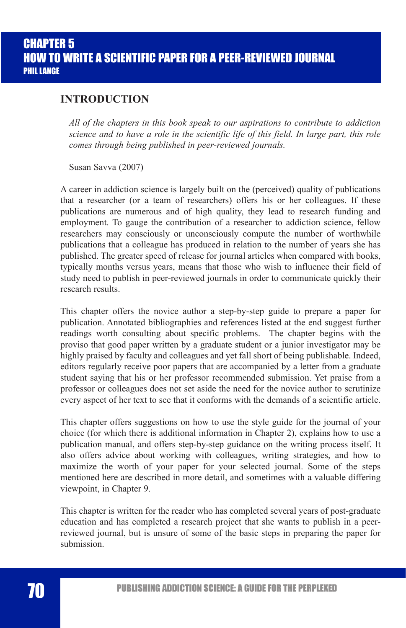### **INTRODUCTION**

*All of the chapters in this book speak to our aspirations to contribute to addiction science and to have a role in the scientific life of this field. In large part, this role comes through being published in peer-reviewed journals.*

Susan Savva (2007)

A career in addiction science is largely built on the (perceived) quality of publications that a researcher (or a team of researchers) offers his or her colleagues. If these publications are numerous and of high quality, they lead to research funding and employment. To gauge the contribution of a researcher to addiction science, fellow researchers may consciously or unconsciously compute the number of worthwhile publications that a colleague has produced in relation to the number of years she has published. The greater speed of release for journal articles when compared with books, typically months versus years, means that those who wish to influence their field of study need to publish in peer-reviewed journals in order to communicate quickly their research results.

This chapter offers the novice author a step-by-step guide to prepare a paper for publication. Annotated bibliographies and references listed at the end suggest further readings worth consulting about specific problems. The chapter begins with the proviso that good paper written by a graduate student or a junior investigator may be highly praised by faculty and colleagues and yet fall short of being publishable. Indeed, editors regularly receive poor papers that are accompanied by a letter from a graduate student saying that his or her professor recommended submission. Yet praise from a professor or colleagues does not set aside the need for the novice author to scrutinize every aspect of her text to see that it conforms with the demands of a scientific article.

This chapter offers suggestions on how to use the style guide for the journal of your choice (for which there is additional information in Chapter 2), explains how to use a publication manual, and offers step-by-step guidance on the writing process itself. It also offers advice about working with colleagues, writing strategies, and how to maximize the worth of your paper for your selected journal. Some of the steps mentioned here are described in more detail, and sometimes with a valuable differing viewpoint, in Chapter 9.

This chapter is written for the reader who has completed several years of post-graduate education and has completed a research project that she wants to publish in a peerreviewed journal, but is unsure of some of the basic steps in preparing the paper for submission.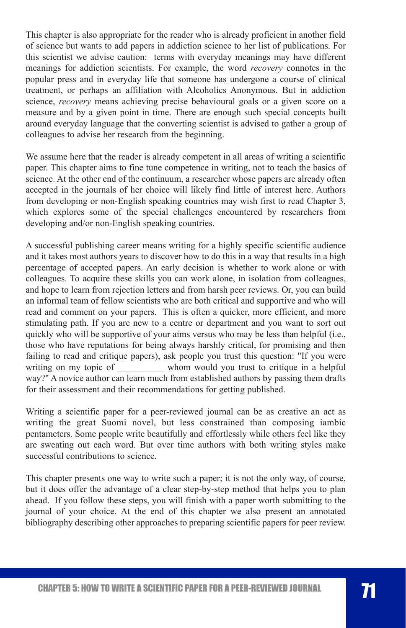This chapter is also appropriate for the reader who is already proficient in another field of science but wants to add papers in addiction science to her list of publications. For this scientist we advise caution: terms with everyday meanings may have different meanings for addiction scientists. For example, the word *recovery* connotes in the popular press and in everyday life that someone has undergone a course of clinical treatment, or perhaps an affiliation with Alcoholics Anonymous. But in addiction science, *recovery* means achieving precise behavioural goals or a given score on a measure and by a given point in time. There are enough such special concepts built around everyday language that the converting scientist is advised to gather a group of colleagues to advise her research from the beginning.

We assume here that the reader is already competent in all areas of writing a scientific paper. This chapter aims to fine tune competence in writing, not to teach the basics of science. At the other end of the continuum, a researcher whose papers are already often accepted in the journals of her choice will likely find little of interest here. Authors from developing or non-English speaking countries may wish first to read Chapter 3, which explores some of the special challenges encountered by researchers from developing and/or non-English speaking countries.

A successful publishing career means writing for a highly specific scientific audience and it takes most authors years to discover how to do this in a way that results in a high percentage of accepted papers. An early decision is whether to work alone or with colleagues. To acquire these skills you can work alone, in isolation from colleagues, and hope to learn from rejection letters and from harsh peer reviews. Or, you can build an informal team of fellow scientists who are both critical and supportive and who will read and comment on your papers. This is often a quicker, more efficient, and more stimulating path. If you are new to a centre or department and you want to sort out quickly who will be supportive of your aims versus who may be less than helpful (i.e., those who have reputations for being always harshly critical, for promising and then failing to read and critique papers), ask people you trust this question: "If you were writing on my topic of whom would you trust to critique in a helpful way?" A novice author can learn much from established authors by passing them drafts for their assessment and their recommendations for getting published.

Writing a scientific paper for a peer-reviewed journal can be as creative an act as writing the great Suomi novel, but less constrained than composing iambic pentameters. Some people write beautifully and effortlessly while others feel like they are sweating out each word. But over time authors with both writing styles make successful contributions to science.

This chapter presents one way to write such a paper; it is not the only way, of course, but it does offer the advantage of a clear step-by-step method that helps you to plan ahead. If you follow these steps, you will finish with a paper worth submitting to the journal of your choice. At the end of this chapter we also present an annotated bibliography describing other approaches to preparing scientific papers for peer review.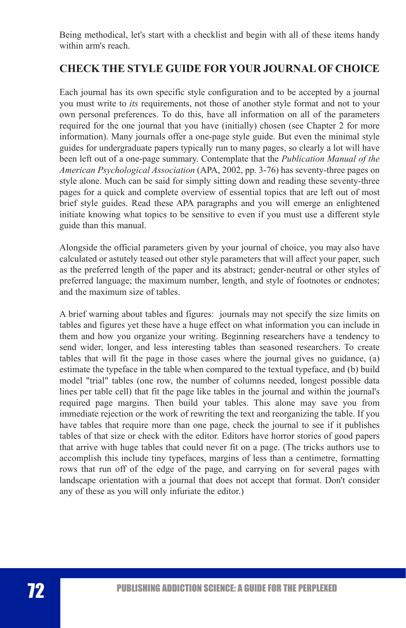Being methodical, let's start with a checklist and begin with all of these items handy within arm's reach.

## **CHECK THE STYLE GUIDE FOR YOUR JOURNAL OF CHOICE**

Each journal has its own specific style configuration and to be accepted by a journal you must write to *its* requirements, not those of another style format and not to your own personal preferences. To do this, have all information on all of the parameters required for the one journal that you have (initially) chosen (see Chapter 2 for more information). Many journals offer a one-page style guide. But even the minimal style guides for undergraduate papers typically run to many pages, so clearly a lot will have been left out of a one-page summary. Contemplate that the *Publication Manual of the American Psychological Association* (APA, 2002, pp. 3-76) has seventy-three pages on style alone. Much can be said for simply sitting down and reading these seventy-three pages for a quick and complete overview of essential topics that are left out of most brief style guides. Read these APA paragraphs and you will emerge an enlightened initiate knowing what topics to be sensitive to even if you must use a different style guide than this manual.

Alongside the official parameters given by your journal of choice, you may also have calculated or astutely teased out other style parameters that will affect your paper, such as the preferred length of the paper and its abstract; gender-neutral or other styles of preferred language; the maximum number, length, and style of footnotes or endnotes; and the maximum size of tables.

A brief warning about tables and figures: journals may not specify the size limits on tables and figures yet these have a huge effect on what information you can include in them and how you organize your writing. Beginning researchers have a tendency to send wider, longer, and less interesting tables than seasoned researchers. To create tables that will fit the page in those cases where the journal gives no guidance, (a) estimate the typeface in the table when compared to the textual typeface, and (b) build model "trial" tables (one row, the number of columns needed, longest possible data lines per table cell) that fit the page like tables in the journal and within the journal's required page margins. Then build your tables. This alone may save you from immediate rejection or the work of rewriting the text and reorganizing the table. If you have tables that require more than one page, check the journal to see if it publishes tables of that size or check with the editor. Editors have horror stories of good papers that arrive with huge tables that could never fit on a page. (The tricks authors use to accomplish this include tiny typefaces, margins of less than a centimetre, formatting rows that run off of the edge of the page, and carrying on for several pages with landscape orientation with a journal that does not accept that format. Don't consider any of these as you will only infuriate the editor.)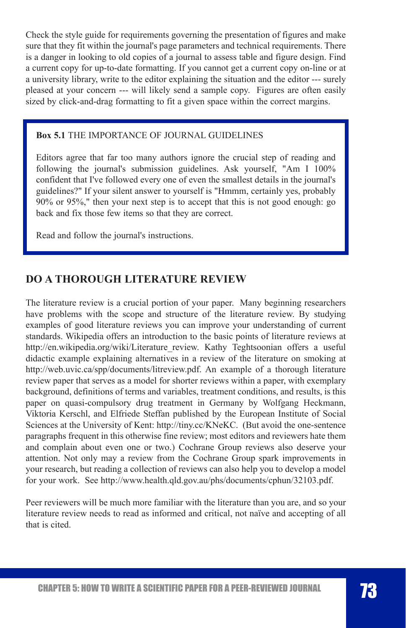Check the style guide for requirements governing the presentation of figures and make sure that they fit within the journal's page parameters and technical requirements. There is a danger in looking to old copies of a journal to assess table and figure design. Find a current copy for up-to-date formatting. If you cannot get a current copy on-line or at a university library, write to the editor explaining the situation and the editor --- surely pleased at your concern --- will likely send a sample copy. Figures are often easily sized by click-and-drag formatting to fit a given space within the correct margins.

#### **Box 5.1** THE IMPORTANCE OF JOURNAL GUIDELINES

Editors agree that far too many authors ignore the crucial step of reading and following the journal's submission guidelines. Ask yourself, "Am I 100% confident that I've followed every one of even the smallest details in the journal's guidelines?" If your silent answer to yourself is "Hmmm, certainly yes, probably 90% or 95%," then your next step is to accept that this is not good enough: go back and fix those few items so that they are correct.

Read and follow the journal's instructions.

## **DO A THOROUGH LITERATURE REVIEW**

The literature review is a crucial portion of your paper. Many beginning researchers have problems with the scope and structure of the literature review. By studying examples of good literature reviews you can improve your understanding of current standards. Wikipedia offers an introduction to the basic points of literature reviews at http://en.wikipedia.org/wiki/Literature\_review. Kathy Teghtsoonian offers a useful didactic example explaining alternatives in a review of the literature on smoking at http://web.uvic.ca/spp/documents/litreview.pdf. An example of a thorough literature review paper that serves as a model for shorter reviews within a paper, with exemplary background, definitions of terms and variables, treatment conditions, and results, is this paper on quasi-compulsory drug treatment in Germany by Wolfgang Heckmann, Viktoria Kerschl, and Elfriede Steffan published by the European Institute of Social Sciences at the University of Kent: http://tiny.cc/KNeKC. (But avoid the one-sentence paragraphs frequent in this otherwise fine review; most editors and reviewers hate them and complain about even one or two.) Cochrane Group reviews also deserve your attention. Not only may a review from the Cochrane Group spark improvements in your research, but reading a collection of reviews can also help you to develop a model for your work. See http://www.health.qld.gov.au/phs/documents/cphun/32103.pdf.

Peer reviewers will be much more familiar with the literature than you are, and so your literature review needs to read as informed and critical, not naïve and accepting of all that is cited.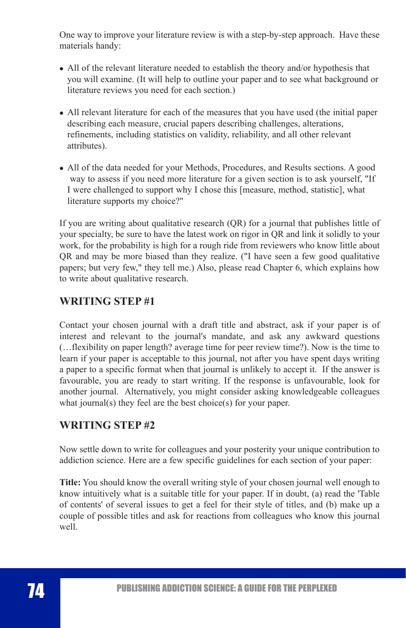One way to improve your literature review is with a step-by-step approach. Have these materials handy:

- All of the relevant literature needed to establish the theory and/or hypothesis that you will examine. (It will help to outline your paper and to see what background or literature reviews you need for each section.)
- All relevant literature for each of the measures that you have used (the initial paper describing each measure, crucial papers describing challenges, alterations, refinements, including statistics on validity, reliability, and all other relevant attributes).
- All of the data needed for your Methods, Procedures, and Results sections. A good way to assess if you need more literature for a given section is to ask yourself, "If I were challenged to support why I chose this [measure, method, statistic], what literature supports my choice?"

If you are writing about qualitative research (QR) for a journal that publishes little of your specialty, be sure to have the latest work on rigor in QR and link it solidly to your work, for the probability is high for a rough ride from reviewers who know little about QR and may be more biased than they realize. ("I have seen a few good qualitative papers; but very few," they tell me.) Also, please read Chapter 6, which explains how to write about qualitative research.

# **WRITING STEP #1**

Contact your chosen journal with a draft title and abstract, ask if your paper is of interest and relevant to the journal's mandate, and ask any awkward questions (…flexibility on paper length? average time for peer review time?). Now is the time to learn if your paper is acceptable to this journal, not after you have spent days writing a paper to a specific format when that journal is unlikely to accept it. If the answer is favourable, you are ready to start writing. If the response is unfavourable, look for another journal. Alternatively, you might consider asking knowledgeable colleagues what journal(s) they feel are the best choice(s) for your paper.

## **WRITING STEP #2**

Now settle down to write for colleagues and your posterity your unique contribution to addiction science. Here are a few specific guidelines for each section of your paper:

**Title:** You should know the overall writing style of your chosen journal well enough to know intuitively what is a suitable title for your paper. If in doubt, (a) read the 'Table of contents' of several issues to get a feel for their style of titles, and (b) make up a couple of possible titles and ask for reactions from colleagues who know this journal well.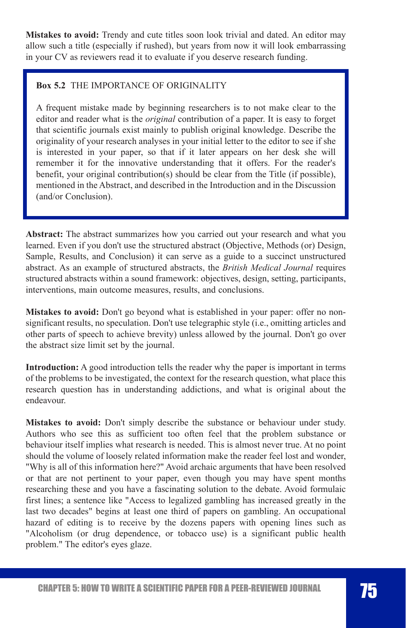**Mistakes to avoid:** Trendy and cute titles soon look trivial and dated. An editor may allow such a title (especially if rushed), but years from now it will look embarrassing in your CV as reviewers read it to evaluate if you deserve research funding.

### **Box 5.2** THE IMPORTANCE OF ORIGINALITY

A frequent mistake made by beginning researchers is to not make clear to the editor and reader what is the *original* contribution of a paper. It is easy to forget that scientific journals exist mainly to publish original knowledge. Describe the originality of your research analyses in your initial letter to the editor to see if she is interested in your paper, so that if it later appears on her desk she will remember it for the innovative understanding that it offers. For the reader's benefit, your original contribution(s) should be clear from the Title (if possible), mentioned in the Abstract, and described in the Introduction and in the Discussion (and/or Conclusion).

**Abstract:** The abstract summarizes how you carried out your research and what you learned. Even if you don't use the structured abstract (Objective, Methods (or) Design, Sample, Results, and Conclusion) it can serve as a guide to a succinct unstructured abstract. As an example of structured abstracts, the *British Medical Journal* requires structured abstracts within a sound framework: objectives, design, setting, participants, interventions, main outcome measures, results, and conclusions.

**Mistakes to avoid:** Don't go beyond what is established in your paper: offer no nonsignificant results, no speculation. Don't use telegraphic style (i.e., omitting articles and other parts of speech to achieve brevity) unless allowed by the journal. Don't go over the abstract size limit set by the journal.

**Introduction:** A good introduction tells the reader why the paper is important in terms of the problems to be investigated, the context for the research question, what place this research question has in understanding addictions, and what is original about the endeavour.

**Mistakes to avoid:** Don't simply describe the substance or behaviour under study. Authors who see this as sufficient too often feel that the problem substance or behaviour itself implies what research is needed. This is almost never true. At no point should the volume of loosely related information make the reader feel lost and wonder, "Why is all of this information here?" Avoid archaic arguments that have been resolved or that are not pertinent to your paper, even though you may have spent months researching these and you have a fascinating solution to the debate. Avoid formulaic first lines; a sentence like "Access to legalized gambling has increased greatly in the last two decades" begins at least one third of papers on gambling. An occupational hazard of editing is to receive by the dozens papers with opening lines such as "Alcoholism (or drug dependence, or tobacco use) is a significant public health problem." The editor's eyes glaze.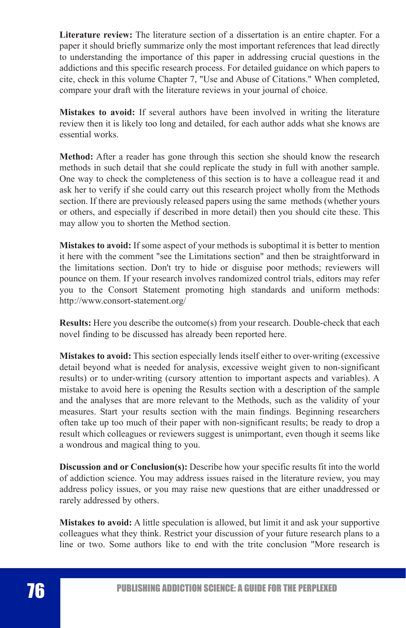**Literature review:** The literature section of a dissertation is an entire chapter. For a paper it should briefly summarize only the most important references that lead directly to understanding the importance of this paper in addressing crucial questions in the addictions and this specific research process. For detailed guidance on which papers to cite, check in this volume Chapter 7, "Use and Abuse of Citations." When completed, compare your draft with the literature reviews in your journal of choice.

**Mistakes to avoid:** If several authors have been involved in writing the literature review then it is likely too long and detailed, for each author adds what she knows are essential works.

**Method:** After a reader has gone through this section she should know the research methods in such detail that she could replicate the study in full with another sample. One way to check the completeness of this section is to have a colleague read it and ask her to verify if she could carry out this research project wholly from the Methods section. If there are previously released papers using the same methods (whether yours or others, and especially if described in more detail) then you should cite these. This may allow you to shorten the Method section.

**Mistakes to avoid:** If some aspect of your methods is suboptimal it is better to mention it here with the comment "see the Limitations section" and then be straightforward in the limitations section. Don't try to hide or disguise poor methods; reviewers will pounce on them. If your research involves randomized control trials, editors may refer you to the Consort Statement promoting high standards and uniform methods: http://www.consort-statement.org/

**Results:** Here you describe the outcome(s) from your research. Double-check that each novel finding to be discussed has already been reported here.

**Mistakes to avoid:** This section especially lends itself either to over-writing (excessive detail beyond what is needed for analysis, excessive weight given to non-significant results) or to under-writing (cursory attention to important aspects and variables). A mistake to avoid here is opening the Results section with a description of the sample and the analyses that are more relevant to the Methods, such as the validity of your measures. Start your results section with the main findings. Beginning researchers often take up too much of their paper with non-significant results; be ready to drop a result which colleagues or reviewers suggest is unimportant, even though it seems like a wondrous and magical thing to you.

**Discussion and or Conclusion(s):** Describe how your specific results fit into the world of addiction science. You may address issues raised in the literature review, you may address policy issues, or you may raise new questions that are either unaddressed or rarely addressed by others.

**Mistakes to avoid:** A little speculation is allowed, but limit it and ask your supportive colleagues what they think. Restrict your discussion of your future research plans to a line or two. Some authors like to end with the trite conclusion "More research is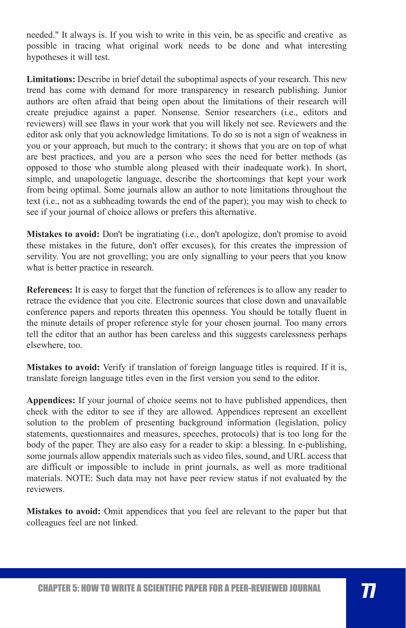needed." It always is. If you wish to write in this vein, be as specific and creative as possible in tracing what original work needs to be done and what interesting hypotheses it will test.

**Limitations:** Describe in brief detail the suboptimal aspects of your research. This new trend has come with demand for more transparency in research publishing. Junior authors are often afraid that being open about the limitations of their research will create prejudice against a paper. Nonsense. Senior researchers (i.e., editors and reviewers) will see flaws in your work that you will likely not see. Reviewers and the editor ask only that you acknowledge limitations. To do so is not a sign of weakness in you or your approach, but much to the contrary; it shows that you are on top of what are best practices, and you are a person who sees the need for better methods (as opposed to those who stumble along pleased with their inadequate work). In short, simple, and unapologetic language, describe the shortcomings that kept your work from being optimal. Some journals allow an author to note limitations throughout the text (i.e., not as a subheading towards the end of the paper); you may wish to check to see if your journal of choice allows or prefers this alternative.

**Mistakes to avoid:** Don't be ingratiating (i.e., don't apologize, don't promise to avoid these mistakes in the future, don't offer excuses), for this creates the impression of servility. You are not grovelling; you are only signalling to your peers that you know what is better practice in research.

**References:** It is easy to forget that the function of references is to allow any reader to retrace the evidence that you cite. Electronic sources that close down and unavailable conference papers and reports threaten this openness. You should be totally fluent in the minute details of proper reference style for your chosen journal. Too many errors tell the editor that an author has been careless and this suggests carelessness perhaps elsewhere, too.

**Mistakes to avoid:** Verify if translation of foreign language titles is required. If it is, translate foreign language titles even in the first version you send to the editor.

**Appendices:** If your journal of choice seems not to have published appendices, then check with the editor to see if they are allowed. Appendices represent an excellent solution to the problem of presenting background information (legislation, policy statements, questionnaires and measures, speeches, protocols) that is too long for the body of the paper. They are also easy for a reader to skip: a blessing. In e-publishing, some journals allow appendix materials such as video files, sound, and URL access that are difficult or impossible to include in print journals, as well as more traditional materials. NOTE: Such data may not have peer review status if not evaluated by the reviewers.

**Mistakes to avoid:** Omit appendices that you feel are relevant to the paper but that colleagues feel are not linked.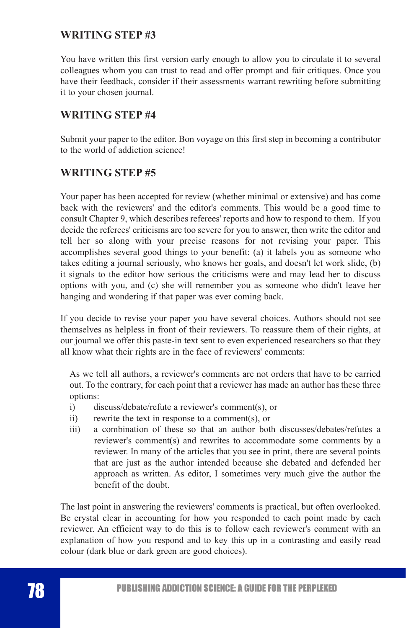## **WRITING STEP #3**

You have written this first version early enough to allow you to circulate it to several colleagues whom you can trust to read and offer prompt and fair critiques. Once you have their feedback, consider if their assessments warrant rewriting before submitting it to your chosen journal.

## **WRITING STEP #4**

Submit your paper to the editor. Bon voyage on this first step in becoming a contributor to the world of addiction science!

### **WRITING STEP #5**

Your paper has been accepted for review (whether minimal or extensive) and has come back with the reviewers' and the editor's comments. This would be a good time to consult Chapter 9, which describes referees' reports and how to respond to them. If you decide the referees' criticisms are too severe for you to answer, then write the editor and tell her so along with your precise reasons for not revising your paper. This accomplishes several good things to your benefit: (a) it labels you as someone who takes editing a journal seriously, who knows her goals, and doesn't let work slide, (b) it signals to the editor how serious the criticisms were and may lead her to discuss options with you, and (c) she will remember you as someone who didn't leave her hanging and wondering if that paper was ever coming back.

If you decide to revise your paper you have several choices. Authors should not see themselves as helpless in front of their reviewers. To reassure them of their rights, at our journal we offer this paste-in text sent to even experienced researchers so that they all know what their rights are in the face of reviewers' comments:

As we tell all authors, a reviewer's comments are not orders that have to be carried out. To the contrary, for each point that a reviewer has made an author has these three options:

- i) discuss/debate/refute a reviewer's comment(s), or
- ii) rewrite the text in response to a comment(s), or
- iii) a combination of these so that an author both discusses/debates/refutes a reviewer's comment(s) and rewrites to accommodate some comments by a reviewer. In many of the articles that you see in print, there are several points that are just as the author intended because she debated and defended her approach as written. As editor, I sometimes very much give the author the benefit of the doubt.

The last point in answering the reviewers' comments is practical, but often overlooked. Be crystal clear in accounting for how you responded to each point made by each reviewer. An efficient way to do this is to follow each reviewer's comment with an explanation of how you respond and to key this up in a contrasting and easily read colour (dark blue or dark green are good choices).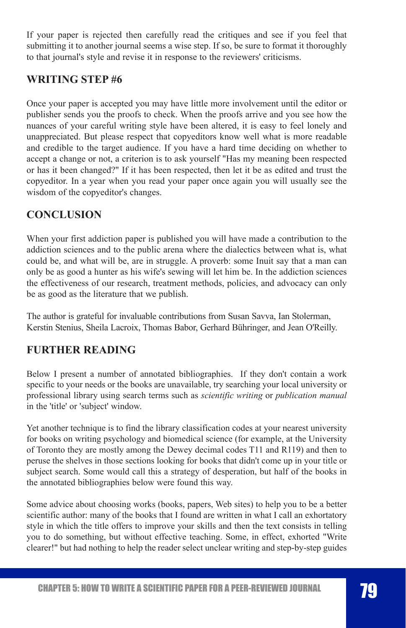If your paper is rejected then carefully read the critiques and see if you feel that submitting it to another journal seems a wise step. If so, be sure to format it thoroughly to that journal's style and revise it in response to the reviewers' criticisms.

## **WRITING STEP #6**

Once your paper is accepted you may have little more involvement until the editor or publisher sends you the proofs to check. When the proofs arrive and you see how the nuances of your careful writing style have been altered, it is easy to feel lonely and unappreciated. But please respect that copyeditors know well what is more readable and credible to the target audience. If you have a hard time deciding on whether to accept a change or not, a criterion is to ask yourself "Has my meaning been respected or has it been changed?" If it has been respected, then let it be as edited and trust the copyeditor. In a year when you read your paper once again you will usually see the wisdom of the copyeditor's changes.

# **CONCLUSION**

When your first addiction paper is published you will have made a contribution to the addiction sciences and to the public arena where the dialectics between what is, what could be, and what will be, are in struggle. A proverb: some Inuit say that a man can only be as good a hunter as his wife's sewing will let him be. In the addiction sciences the effectiveness of our research, treatment methods, policies, and advocacy can only be as good as the literature that we publish.

The author is grateful for invaluable contributions from Susan Savva, Ian Stolerman, Kerstin Stenius, Sheila Lacroix, Thomas Babor, Gerhard Bühringer, and Jean O'Reilly.

## **FURTHER READING**

Below I present a number of annotated bibliographies. If they don't contain a work specific to your needs or the books are unavailable, try searching your local university or professional library using search terms such as *scientific writing* or *publication manual* in the 'title' or 'subject' window.

Yet another technique is to find the library classification codes at your nearest university for books on writing psychology and biomedical science (for example, at the University of Toronto they are mostly among the Dewey decimal codes T11 and R119) and then to peruse the shelves in those sections looking for books that didn't come up in your title or subject search. Some would call this a strategy of desperation, but half of the books in the annotated bibliographies below were found this way.

Some advice about choosing works (books, papers, Web sites) to help you to be a better scientific author: many of the books that I found are written in what I call an exhortatory style in which the title offers to improve your skills and then the text consists in telling you to do something, but without effective teaching. Some, in effect, exhorted "Write clearer!" but had nothing to help the reader select unclear writing and step-by-step guides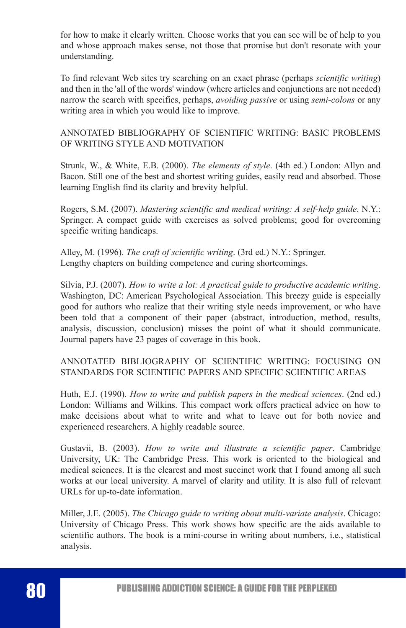for how to make it clearly written. Choose works that you can see will be of help to you and whose approach makes sense, not those that promise but don't resonate with your understanding.

To find relevant Web sites try searching on an exact phrase (perhaps *scientific writing*) and then in the 'all of the words' window (where articles and conjunctions are not needed) narrow the search with specifics, perhaps, *avoiding passive* or using *semi-colons* or any writing area in which you would like to improve.

### ANNOTATED BIBLIOGRAPHY OF SCIENTIFIC WRITING: BASIC PROBLEMS OF WRITING STYLE AND MOTIVATION

Strunk, W., & White, E.B. (2000). *The elements of style*. (4th ed.) London: Allyn and Bacon. Still one of the best and shortest writing guides, easily read and absorbed. Those learning English find its clarity and brevity helpful.

Rogers, S.M. (2007). *Mastering scientific and medical writing: A self-help guide*. N.Y.: Springer. A compact guide with exercises as solved problems; good for overcoming specific writing handicaps.

Alley, M. (1996). *The craft of scientific writing*. (3rd ed.) N.Y.: Springer. Lengthy chapters on building competence and curing shortcomings.

Silvia, P.J. (2007). *How to write a lot: A practical guide to productive academic writing*. Washington, DC: American Psychological Association. This breezy guide is especially good for authors who realize that their writing style needs improvement, or who have been told that a component of their paper (abstract, introduction, method, results, analysis, discussion, conclusion) misses the point of what it should communicate. Journal papers have 23 pages of coverage in this book.

### ANNOTATED BIBLIOGRAPHY OF SCIENTIFIC WRITING: FOCUSING ON STANDARDS FOR SCIENTIFIC PAPERS AND SPECIFIC SCIENTIFIC AREAS

Huth, E.J. (1990). *How to write and publish papers in the medical sciences*. (2nd ed.) London: Williams and Wilkins. This compact work offers practical advice on how to make decisions about what to write and what to leave out for both novice and experienced researchers. A highly readable source.

Gustavii, B. (2003). *How to write and illustrate a scientific paper*. Cambridge University, UK: The Cambridge Press. This work is oriented to the biological and medical sciences. It is the clearest and most succinct work that I found among all such works at our local university. A marvel of clarity and utility. It is also full of relevant URLs for up-to-date information.

Miller, J.E. (2005). *The Chicago guide to writing about multi-variate analysis*. Chicago: University of Chicago Press. This work shows how specific are the aids available to scientific authors. The book is a mini-course in writing about numbers, i.e., statistical analysis.